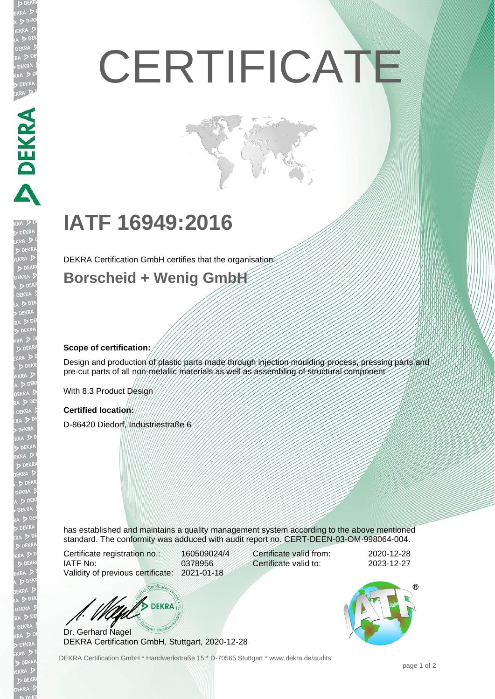# **CERTIFICATE**

## **IATF 16949:2016**

DEKRA Certification GmbH certifies that the organisation

## **Borscheid + Wenig GmbH**

## **Scope of certification:**

**DEKRA** 

Design and production of plastic parts made through injection moulding process, pressing parts and pre-cut parts of all non-metallic materials as well as assembling of structural component

With 8.3 Product Design

#### **Certified location:**

D-86420 Diedorf, Industriestraße 6

has established and maintains a quality management system according to the above mentioned standard. The conformity was adduced with audit report no. CERT-DEEN-03-OM-998064-004.

Certificate registration no.: 160509024/4 IATF No: 0378956 Validity of previous certificate: 2021-01-18

Certificate valid from: 2020-12-28 Certificate valid to: 2023-12-27



Dr. Gerhard Nagel DEKRA Certification GmbH, Stuttgart, 2020-12-28

DEKRA Certification GmbH \* Handwerkstraße 15 \* D-70565 Stuttgart \* www.dekra.de/audits